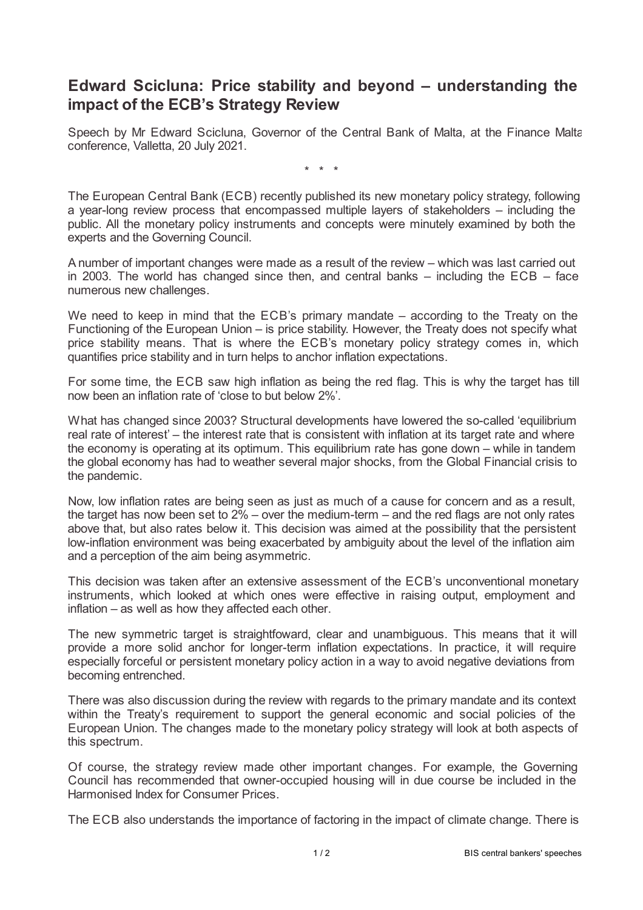## **Edward Scicluna: Price stability and beyond – understanding the impact of the ECB's Strategy Review**

Speech by Mr Edward Scicluna, Governor of the Central Bank of Malta, at the Finance Malta conference, Valletta, 20 July 2021.

\* \* \*

The European Central Bank (ECB) recently published its new monetary policy strategy, following a year-long review process that encompassed multiple layers of stakeholders – including the public. All the monetary policy instruments and concepts were minutely examined by both the experts and the Governing Council.

A number of important changes were made as a result of the review – which was last carried out in 2003. The world has changed since then, and central banks – including the ECB – face numerous new challenges.

We need to keep in mind that the ECB's primary mandate – according to the Treaty on the Functioning of the European Union – is price stability. However, the Treaty does not specify what price stability means. That is where the ECB's monetary policy strategy comes in, which quantifies price stability and in turn helps to anchor inflation expectations.

For some time, the ECB saw high inflation as being the red flag. This is why the target has till now been an inflation rate of 'close to but below 2%'.

What has changed since 2003? Structural developments have lowered the so-called 'equilibrium real rate of interest' – the interest rate that is consistent with inflation at its target rate and where the economy is operating at its optimum. This equilibrium rate has gone down – while in tandem the global economy has had to weather several major shocks, from the Global Financial crisis to the pandemic.

Now, low inflation rates are being seen as just as much of a cause for concern and as a result, the target has now been set to  $2\%$  – over the medium-term – and the red flags are not only rates above that, but also rates below it. This decision was aimed at the possibility that the persistent low-inflation environment was being exacerbated by ambiguity about the level of the inflation aim and a perception of the aim being asymmetric.

This decision was taken after an extensive assessment of the ECB's unconventional monetary instruments, which looked at which ones were effective in raising output, employment and inflation – as well as how they affected each other.

The new symmetric target is straightfoward, clear and unambiguous. This means that it will provide a more solid anchor for longer-term inflation expectations. In practice, it will require especially forceful or persistent monetary policy action in a way to avoid negative deviations from becoming entrenched.

There was also discussion during the review with regards to the primary mandate and its context within the Treaty's requirement to support the general economic and social policies of the European Union. The changes made to the monetary policy strategy will look at both aspects of this spectrum.

Of course, the strategy review made other important changes. For example, the Governing Council has recommended that owner-occupied housing will in due course be included in the Harmonised Index for Consumer Prices.

The ECB also understands the importance of factoring in the impact of climate change. There is